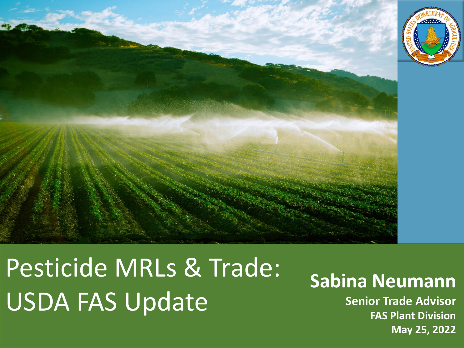

Pesticide MRLs & Trade: USDA FAS Update

### **Sabina Neumann**

**Senior Trade Advisor FAS Plant Division May 25, 2022**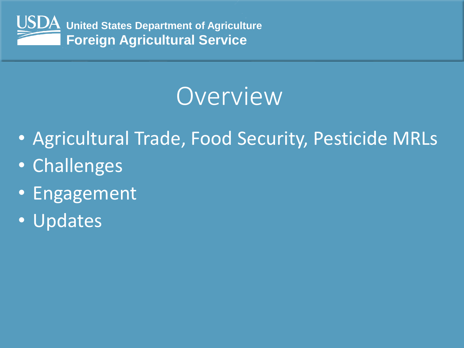

## Overview

- Agricultural Trade, Food Security, Pesticide MRLs
- Challenges
- Engagement
- Updates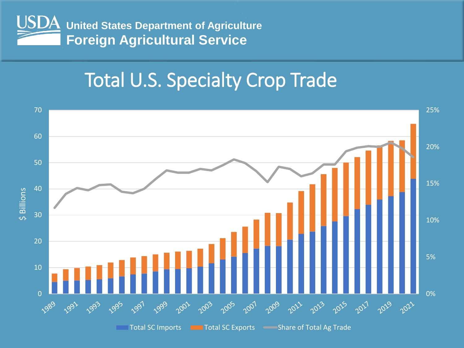

### Total U.S. Specialty Crop Trade

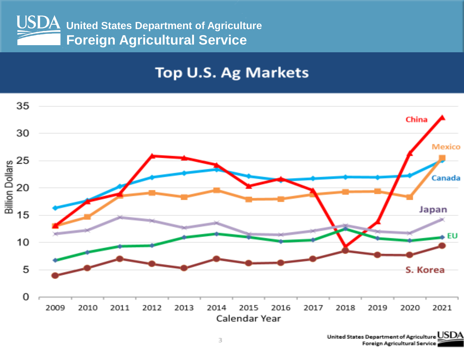

### **Top U.S. Ag Markets**

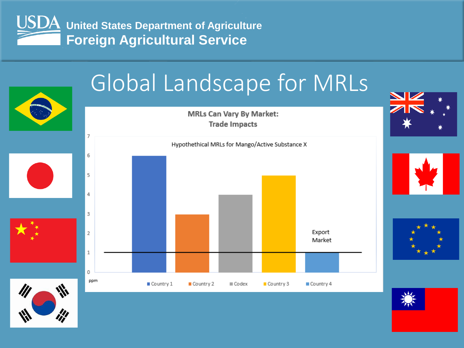

## Global Landscape for MRLs

**MRLs Can Vary By Market: Trade Impacts** 



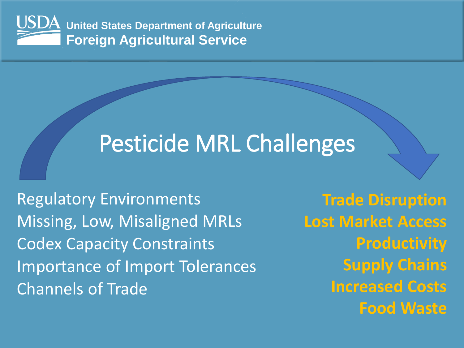

## Pesticide MRL Challenges

Regulatory Environments Missing, Low, Misaligned MRLs Codex Capacity Constraints Importance of Import Tolerances Channels of Trade

**Trade Disruption Lost Market Access Productivity Supply Chains Increased Costs Food Waste**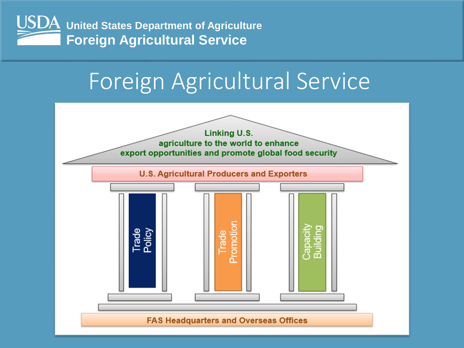

## Foreign Agricultural Service

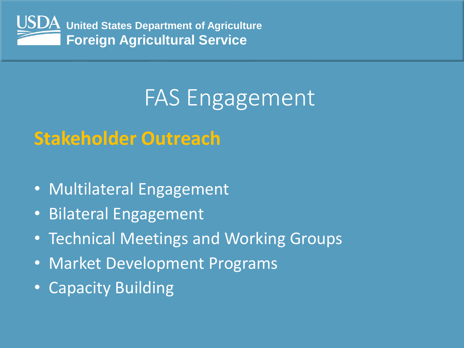

## FAS Engagement

### **Stakeholder Outreach**

- Multilateral Engagement
- Bilateral Engagement
- Technical Meetings and Working Groups
- Market Development Programs
- Capacity Building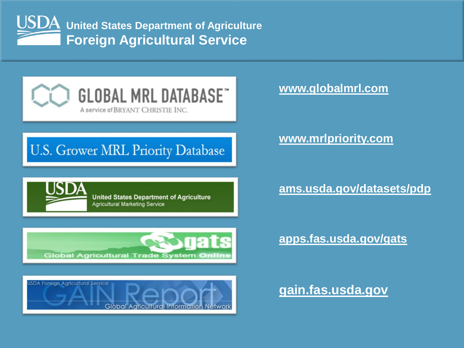



### U.S. Grower MRL Priority Database

**United States Department of Agriculture Agricultural Marketing Service** 



#### **www.mrlpriority.com**

#### **ams.usda.gov/datasets/pdp**





**[apps.fas.usda.gov/gats](https://apps.fas.usda.gov/gats/default.aspx)**

**gain.fas.usda.gov**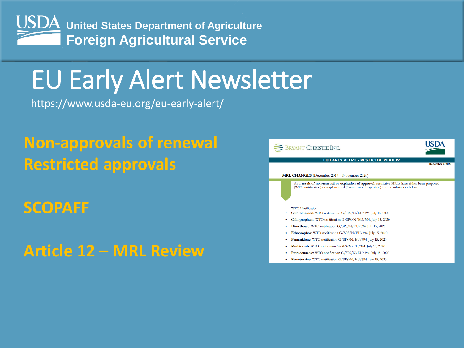

## EU Early Alert Newsletter

https://www.usda-eu.org/eu-early-alert/

### **Non-approvals of renewal Restricted approvals**

### **SCOPAFF**

**Article 12 – MRL Review**

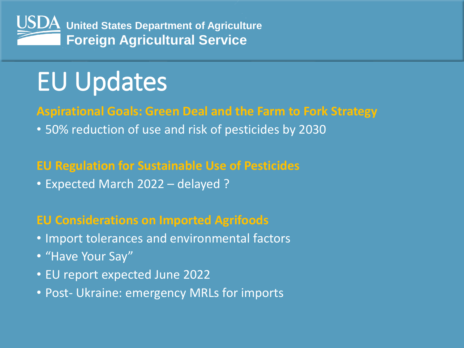

# EU Updates

### **Aspirational Goals: Green Deal and the Farm to Fork Strategy**

• 50% reduction of use and risk of pesticides by 2030

### **EU Regulation for Sustainable Use of Pesticides**

• Expected March 2022 – delayed ?

### **EU Considerations on Imported Agrifoods**

- Import tolerances and environmental factors
- "Have Your Say"
- EU report expected June 2022
- Post- Ukraine: emergency MRLs for imports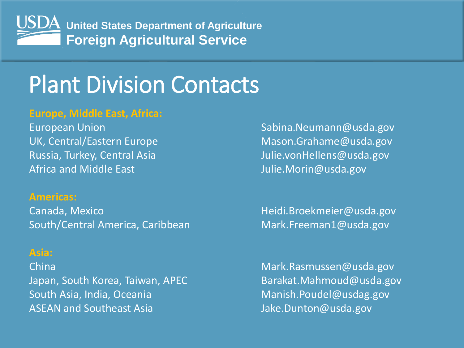

## Plant Division Contacts

#### **Europe, Middle East, Africa:**

Africa and Middle East Allen Controller Morin@usda.gov

#### **Americas:**

Canada, Mexico **Matter and Accord Mexico Accord Heidi.Broekmeier@usda.gov** South/Central America, Caribbean Mark.Freeman1@usda.gov

#### **Asia:**

Japan, South Korea, Taiwan, APEC Barakat.Mahmoud@usda.gov South Asia, India, Oceania Manish.Poudel@usdag.gov ASEAN and Southeast Asia Jake.Dunton@usda.gov

European Union Neumann Controller European Union Neumann Court Controller Sabina.Neumann Cusda.gov UK, Central/Eastern Europe Mason.Grahame@usda.gov Russia, Turkey, Central Asia Julie.vonHellens@usda.gov

China **Mark.Rasmussen@usda.gov** China